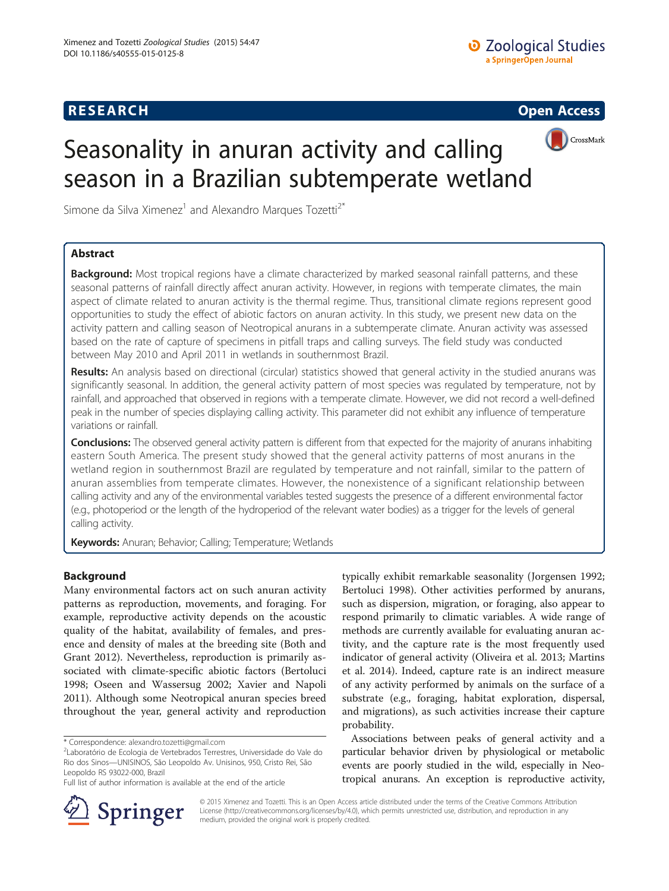# **RESEARCH RESEARCH CONSUMING ACCESS**



# Seasonality in anuran activity and calling season in a Brazilian subtemperate wetland

Simone da Silva Ximenez<sup>1</sup> and Alexandro Marques Tozetti<sup>2\*</sup>

# Abstract

Background: Most tropical regions have a climate characterized by marked seasonal rainfall patterns, and these seasonal patterns of rainfall directly affect anuran activity. However, in regions with temperate climates, the main aspect of climate related to anuran activity is the thermal regime. Thus, transitional climate regions represent good opportunities to study the effect of abiotic factors on anuran activity. In this study, we present new data on the activity pattern and calling season of Neotropical anurans in a subtemperate climate. Anuran activity was assessed based on the rate of capture of specimens in pitfall traps and calling surveys. The field study was conducted between May 2010 and April 2011 in wetlands in southernmost Brazil.

Results: An analysis based on directional (circular) statistics showed that general activity in the studied anurans was significantly seasonal. In addition, the general activity pattern of most species was regulated by temperature, not by rainfall, and approached that observed in regions with a temperate climate. However, we did not record a well-defined peak in the number of species displaying calling activity. This parameter did not exhibit any influence of temperature variations or rainfall.

Conclusions: The observed general activity pattern is different from that expected for the majority of anurans inhabiting eastern South America. The present study showed that the general activity patterns of most anurans in the wetland region in southernmost Brazil are regulated by temperature and not rainfall, similar to the pattern of anuran assemblies from temperate climates. However, the nonexistence of a significant relationship between calling activity and any of the environmental variables tested suggests the presence of a different environmental factor (e.g., photoperiod or the length of the hydroperiod of the relevant water bodies) as a trigger for the levels of general calling activity.

Keywords: Anuran; Behavior; Calling; Temperature; Wetlands

## Background

Many environmental factors act on such anuran activity patterns as reproduction, movements, and foraging. For example, reproductive activity depends on the acoustic quality of the habitat, availability of females, and presence and density of males at the breeding site (Both and Grant [2012\)](#page-7-0). Nevertheless, reproduction is primarily associated with climate-specific abiotic factors (Bertoluci [1998](#page-7-0); Oseen and Wassersug [2002;](#page-8-0) Xavier and Napoli [2011](#page-8-0)). Although some Neotropical anuran species breed throughout the year, general activity and reproduction



Associations between peaks of general activity and a particular behavior driven by physiological or metabolic events are poorly studied in the wild, especially in Neotropical anurans. An exception is reproductive activity,



© 2015 Ximenez and Tozetti. This is an Open Access article distributed under the terms of the Creative Commons Attribution License [\(http://creativecommons.org/licenses/by/4.0\)](http://creativecommons.org/licenses/by/4.0), which permits unrestricted use, distribution, and reproduction in any medium, provided the original work is properly credited.

<sup>\*</sup> Correspondence: [alexandro.tozetti@gmail.com](mailto:alexandro.tozetti@gmail.com) <sup>2</sup>

Laboratório de Ecologia de Vertebrados Terrestres, Universidade do Vale do Rio dos Sinos—UNISINOS, São Leopoldo Av. Unisinos, 950, Cristo Rei, São Leopoldo RS 93022-000, Brazil

Full list of author information is available at the end of the article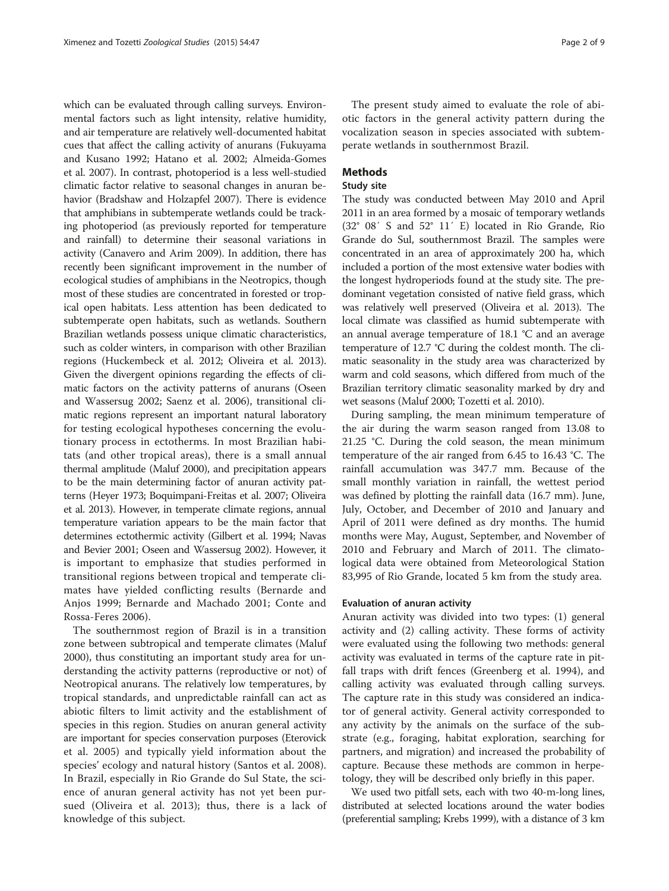which can be evaluated through calling surveys. Environmental factors such as light intensity, relative humidity, and air temperature are relatively well-documented habitat cues that affect the calling activity of anurans (Fukuyama and Kusano [1992;](#page-8-0) Hatano et al. [2002](#page-8-0); Almeida-Gomes et al. [2007](#page-7-0)). In contrast, photoperiod is a less well-studied climatic factor relative to seasonal changes in anuran behavior (Bradshaw and Holzapfel [2007\)](#page-7-0). There is evidence that amphibians in subtemperate wetlands could be tracking photoperiod (as previously reported for temperature and rainfall) to determine their seasonal variations in activity (Canavero and Arim [2009](#page-7-0)). In addition, there has recently been significant improvement in the number of ecological studies of amphibians in the Neotropics, though most of these studies are concentrated in forested or tropical open habitats. Less attention has been dedicated to subtemperate open habitats, such as wetlands. Southern Brazilian wetlands possess unique climatic characteristics, such as colder winters, in comparison with other Brazilian regions (Huckembeck et al. [2012;](#page-8-0) Oliveira et al. [2013](#page-8-0)). Given the divergent opinions regarding the effects of climatic factors on the activity patterns of anurans (Oseen and Wassersug [2002](#page-8-0); Saenz et al. [2006](#page-8-0)), transitional climatic regions represent an important natural laboratory for testing ecological hypotheses concerning the evolutionary process in ectotherms. In most Brazilian habitats (and other tropical areas), there is a small annual thermal amplitude (Maluf [2000\)](#page-8-0), and precipitation appears to be the main determining factor of anuran activity patterns (Heyer [1973;](#page-8-0) Boquimpani-Freitas et al. [2007](#page-7-0); Oliveira et al. [2013\)](#page-8-0). However, in temperate climate regions, annual temperature variation appears to be the main factor that determines ectothermic activity (Gilbert et al. [1994](#page-8-0); Navas and Bevier [2001](#page-8-0); Oseen and Wassersug [2002\)](#page-8-0). However, it is important to emphasize that studies performed in transitional regions between tropical and temperate climates have yielded conflicting results (Bernarde and Anjos [1999;](#page-7-0) Bernarde and Machado [2001](#page-7-0); Conte and Rossa-Feres [2006\)](#page-8-0).

The southernmost region of Brazil is in a transition zone between subtropical and temperate climates (Maluf [2000](#page-8-0)), thus constituting an important study area for understanding the activity patterns (reproductive or not) of Neotropical anurans. The relatively low temperatures, by tropical standards, and unpredictable rainfall can act as abiotic filters to limit activity and the establishment of species in this region. Studies on anuran general activity are important for species conservation purposes (Eterovick et al. [2005](#page-8-0)) and typically yield information about the species' ecology and natural history (Santos et al. [2008](#page-8-0)). In Brazil, especially in Rio Grande do Sul State, the science of anuran general activity has not yet been pursued (Oliveira et al. [2013\)](#page-8-0); thus, there is a lack of knowledge of this subject.

The present study aimed to evaluate the role of abiotic factors in the general activity pattern during the vocalization season in species associated with subtemperate wetlands in southernmost Brazil.

# Methods

### Study site

The study was conducted between May 2010 and April 2011 in an area formed by a mosaic of temporary wetlands (32° 08′ S and 52° 11′ E) located in Rio Grande, Rio Grande do Sul, southernmost Brazil. The samples were concentrated in an area of approximately 200 ha, which included a portion of the most extensive water bodies with the longest hydroperiods found at the study site. The predominant vegetation consisted of native field grass, which was relatively well preserved (Oliveira et al. [2013\)](#page-8-0). The local climate was classified as humid subtemperate with an annual average temperature of 18.1 °C and an average temperature of 12.7 °C during the coldest month. The climatic seasonality in the study area was characterized by warm and cold seasons, which differed from much of the Brazilian territory climatic seasonality marked by dry and wet seasons (Maluf [2000](#page-8-0); Tozetti et al. [2010\)](#page-8-0).

During sampling, the mean minimum temperature of the air during the warm season ranged from 13.08 to 21.25 °C. During the cold season, the mean minimum temperature of the air ranged from 6.45 to 16.43 °C. The rainfall accumulation was 347.7 mm. Because of the small monthly variation in rainfall, the wettest period was defined by plotting the rainfall data (16.7 mm). June, July, October, and December of 2010 and January and April of 2011 were defined as dry months. The humid months were May, August, September, and November of 2010 and February and March of 2011. The climatological data were obtained from Meteorological Station 83,995 of Rio Grande, located 5 km from the study area.

#### Evaluation of anuran activity

Anuran activity was divided into two types: (1) general activity and (2) calling activity. These forms of activity were evaluated using the following two methods: general activity was evaluated in terms of the capture rate in pitfall traps with drift fences (Greenberg et al. [1994](#page-8-0)), and calling activity was evaluated through calling surveys. The capture rate in this study was considered an indicator of general activity. General activity corresponded to any activity by the animals on the surface of the substrate (e.g., foraging, habitat exploration, searching for partners, and migration) and increased the probability of capture. Because these methods are common in herpetology, they will be described only briefly in this paper.

We used two pitfall sets, each with two 40-m-long lines, distributed at selected locations around the water bodies (preferential sampling; Krebs [1999\)](#page-8-0), with a distance of 3 km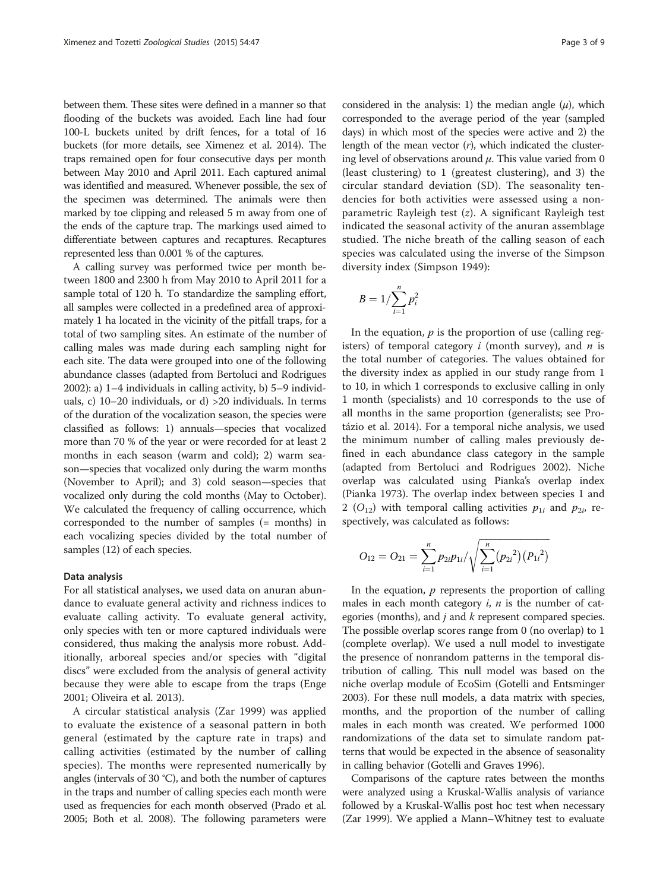between them. These sites were defined in a manner so that flooding of the buckets was avoided. Each line had four 100-L buckets united by drift fences, for a total of 16 buckets (for more details, see Ximenez et al. [2014](#page-8-0)). The traps remained open for four consecutive days per month between May 2010 and April 2011. Each captured animal was identified and measured. Whenever possible, the sex of the specimen was determined. The animals were then marked by toe clipping and released 5 m away from one of the ends of the capture trap. The markings used aimed to differentiate between captures and recaptures. Recaptures represented less than 0.001 % of the captures.

A calling survey was performed twice per month between 1800 and 2300 h from May 2010 to April 2011 for a sample total of 120 h. To standardize the sampling effort, all samples were collected in a predefined area of approximately 1 ha located in the vicinity of the pitfall traps, for a total of two sampling sites. An estimate of the number of calling males was made during each sampling night for each site. The data were grouped into one of the following abundance classes (adapted from Bertoluci and Rodrigues [2002\)](#page-7-0): a) 1–4 individuals in calling activity, b) 5–9 individuals, c) 10–20 individuals, or d) >20 individuals. In terms of the duration of the vocalization season, the species were classified as follows: 1) annuals—species that vocalized more than 70 % of the year or were recorded for at least 2 months in each season (warm and cold); 2) warm season—species that vocalized only during the warm months (November to April); and 3) cold season—species that vocalized only during the cold months (May to October). We calculated the frequency of calling occurrence, which corresponded to the number of samples (= months) in each vocalizing species divided by the total number of samples (12) of each species.

#### Data analysis

For all statistical analyses, we used data on anuran abundance to evaluate general activity and richness indices to evaluate calling activity. To evaluate general activity, only species with ten or more captured individuals were considered, thus making the analysis more robust. Additionally, arboreal species and/or species with "digital discs" were excluded from the analysis of general activity because they were able to escape from the traps (Enge [2001](#page-8-0); Oliveira et al. [2013\)](#page-8-0).

A circular statistical analysis (Zar [1999](#page-8-0)) was applied to evaluate the existence of a seasonal pattern in both general (estimated by the capture rate in traps) and calling activities (estimated by the number of calling species). The months were represented numerically by angles (intervals of 30 °C), and both the number of captures in the traps and number of calling species each month were used as frequencies for each month observed (Prado et al. [2005;](#page-8-0) Both et al. [2008](#page-7-0)). The following parameters were

considered in the analysis: 1) the median angle  $(\mu)$ , which corresponded to the average period of the year (sampled days) in which most of the species were active and 2) the length of the mean vector  $(r)$ , which indicated the clustering level of observations around  $\mu$ . This value varied from 0 (least clustering) to 1 (greatest clustering), and 3) the circular standard deviation (SD). The seasonality tendencies for both activities were assessed using a nonparametric Rayleigh test (z). A significant Rayleigh test indicated the seasonal activity of the anuran assemblage studied. The niche breath of the calling season of each species was calculated using the inverse of the Simpson diversity index (Simpson 1949):

$$
B=1/\sum_{i=1}^n p_i^2
$$

In the equation,  $p$  is the proportion of use (calling registers) of temporal category  $i$  (month survey), and  $n$  is the total number of categories. The values obtained for the diversity index as applied in our study range from 1 to 10, in which 1 corresponds to exclusive calling in only 1 month (specialists) and 10 corresponds to the use of all months in the same proportion (generalists; see Protázio et al. [2014](#page-8-0)). For a temporal niche analysis, we used the minimum number of calling males previously defined in each abundance class category in the sample (adapted from Bertoluci and Rodrigues [2002\)](#page-7-0). Niche overlap was calculated using Pianka's overlap index (Pianka [1973](#page-8-0)). The overlap index between species 1 and 2 ( $O_{12}$ ) with temporal calling activities  $p_{1i}$  and  $p_{2i}$ , respectively, was calculated as follows:

$$
O_{12}=O_{21}=\sum_{i=1}^n p_{2i}p_{1i}/\sqrt{\sum_{i=1}^n (p_{2i}^2)(p_{1i}^2)}
$$

In the equation,  $p$  represents the proportion of calling males in each month category  $i$ ,  $n$  is the number of categories (months), and  $j$  and  $k$  represent compared species. The possible overlap scores range from 0 (no overlap) to 1 (complete overlap). We used a null model to investigate the presence of nonrandom patterns in the temporal distribution of calling. This null model was based on the niche overlap module of EcoSim (Gotelli and Entsminger 2003). For these null models, a data matrix with species, months, and the proportion of the number of calling males in each month was created. We performed 1000 randomizations of the data set to simulate random patterns that would be expected in the absence of seasonality in calling behavior (Gotelli and Graves [1996\)](#page-8-0).

Comparisons of the capture rates between the months were analyzed using a Kruskal-Wallis analysis of variance followed by a Kruskal-Wallis post hoc test when necessary (Zar [1999](#page-8-0)). We applied a Mann–Whitney test to evaluate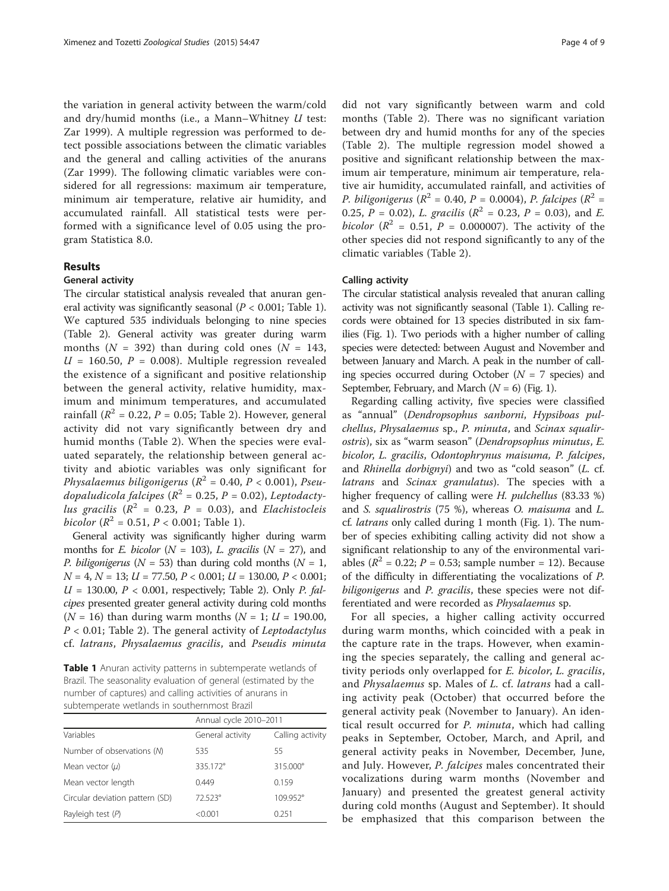the variation in general activity between the warm/cold and dry/humid months (i.e., a Mann–Whitney  $U$  test: Zar [1999\)](#page-8-0). A multiple regression was performed to detect possible associations between the climatic variables and the general and calling activities of the anurans (Zar [1999\)](#page-8-0). The following climatic variables were considered for all regressions: maximum air temperature, minimum air temperature, relative air humidity, and accumulated rainfall. All statistical tests were performed with a significance level of 0.05 using the program Statistica 8.0.

# Results

#### General activity

The circular statistical analysis revealed that anuran general activity was significantly seasonal  $(P < 0.001$ ; Table 1). We captured 535 individuals belonging to nine species (Table [2](#page-4-0)). General activity was greater during warm months ( $N = 392$ ) than during cold ones ( $N = 143$ ,  $U = 160.50$ ,  $P = 0.008$ ). Multiple regression revealed the existence of a significant and positive relationship between the general activity, relative humidity, maximum and minimum temperatures, and accumulated rainfall ( $R^2$  = 0.22,  $P$  = 0.05; Table [2\)](#page-4-0). However, general activity did not vary significantly between dry and humid months (Table [2](#page-4-0)). When the species were evaluated separately, the relationship between general activity and abiotic variables was only significant for Physalaemus biligonigerus ( $R^2 = 0.40$ ,  $P < 0.001$ ), Pseudopaludicola falcipes ( $R^2 = 0.25$ ,  $P = 0.02$ ), Leptodactylus gracilis ( $R^2 = 0.23$ ,  $P = 0.03$ ), and *Elachistocleis* bicolor ( $R^2 = 0.51$ ,  $P < 0.001$ ; Table 1).

General activity was significantly higher during warm months for *E. bicolor* ( $N = 103$ ), *L. gracilis* ( $N = 27$ ), and *P. biligonigerus* ( $N = 53$ ) than during cold months ( $N = 1$ ,  $N = 4, N = 13; U = 77.50, P < 0.001; U = 130.00, P < 0.001;$  $U = 130.00, P < 0.001$ , respectively; Table [2](#page-4-0)). Only P. falcipes presented greater general activity during cold months  $(N = 16)$  than during warm months  $(N = 1; U = 190.00,$  $P < 0.01$ ; Table [2](#page-4-0)). The general activity of *Leptodactylus* cf. latrans, Physalaemus gracilis, and Pseudis minuta

Table 1 Anuran activity patterns in subtemperate wetlands of Brazil. The seasonality evaluation of general (estimated by the number of captures) and calling activities of anurans in subtemperate wetlands in southernmost Brazil

|                                 | Annual cycle 2010-2011 |                  |  |  |  |  |  |
|---------------------------------|------------------------|------------------|--|--|--|--|--|
| Variables                       | General activity       | Calling activity |  |  |  |  |  |
| Number of observations (M)      | 535                    | 55               |  |  |  |  |  |
| Mean vector $(\mu)$             | 335.172°               | 315.000°         |  |  |  |  |  |
| Mean vector length              | 0.449                  | 0.159            |  |  |  |  |  |
| Circular deviation pattern (SD) | $72.523^{\circ}$       | 109.952°         |  |  |  |  |  |
| Rayleigh test $(P)$             | < 0.001                | 0.251            |  |  |  |  |  |

did not vary significantly between warm and cold months (Table [2](#page-4-0)). There was no significant variation between dry and humid months for any of the species (Table [2\)](#page-4-0). The multiple regression model showed a positive and significant relationship between the maximum air temperature, minimum air temperature, relative air humidity, accumulated rainfall, and activities of P. biligonigerus ( $R^2 = 0.40$ ,  $P = 0.0004$ ), P. falcipes ( $R^2 =$ 0.25,  $P = 0.02$ ), L. gracilis ( $R^2 = 0.23$ ,  $P = 0.03$ ), and E. bicolor ( $R^2$  = 0.51, P = 0.000007). The activity of the other species did not respond significantly to any of the climatic variables (Table [2\)](#page-4-0).

### Calling activity

The circular statistical analysis revealed that anuran calling activity was not significantly seasonal (Table 1). Calling records were obtained for 13 species distributed in six families (Fig. [1](#page-4-0)). Two periods with a higher number of calling species were detected: between August and November and between January and March. A peak in the number of calling species occurred during October  $(N = 7$  species) and September, February, and March  $(N = 6)$  (Fig. [1\)](#page-4-0).

Regarding calling activity, five species were classified as "annual" (Dendropsophus sanborni, Hypsiboas pulchellus, Physalaemus sp., P. minuta, and Scinax squalirostris), six as "warm season" (Dendropsophus minutus, E. bicolor, L. gracilis, Odontophrynus maisuma, P. falcipes, and Rhinella dorbignyi) and two as "cold season" (L. cf. latrans and Scinax granulatus). The species with a higher frequency of calling were H. *pulchellus* (83.33 %) and S. squalirostris (75 %), whereas O. maisuma and L. cf. latrans only called during 1 month (Fig. [1\)](#page-4-0). The number of species exhibiting calling activity did not show a significant relationship to any of the environmental variables ( $R^2 = 0.22$ ;  $P = 0.53$ ; sample number = 12). Because of the difficulty in differentiating the vocalizations of P. biligonigerus and P. gracilis, these species were not differentiated and were recorded as Physalaemus sp.

For all species, a higher calling activity occurred during warm months, which coincided with a peak in the capture rate in the traps. However, when examining the species separately, the calling and general activity periods only overlapped for E. bicolor, L. gracilis, and *Physalaemus* sp. Males of *L*. cf. *latrans* had a calling activity peak (October) that occurred before the general activity peak (November to January). An identical result occurred for P. minuta, which had calling peaks in September, October, March, and April, and general activity peaks in November, December, June, and July. However, *P. falcipes* males concentrated their vocalizations during warm months (November and January) and presented the greatest general activity during cold months (August and September). It should be emphasized that this comparison between the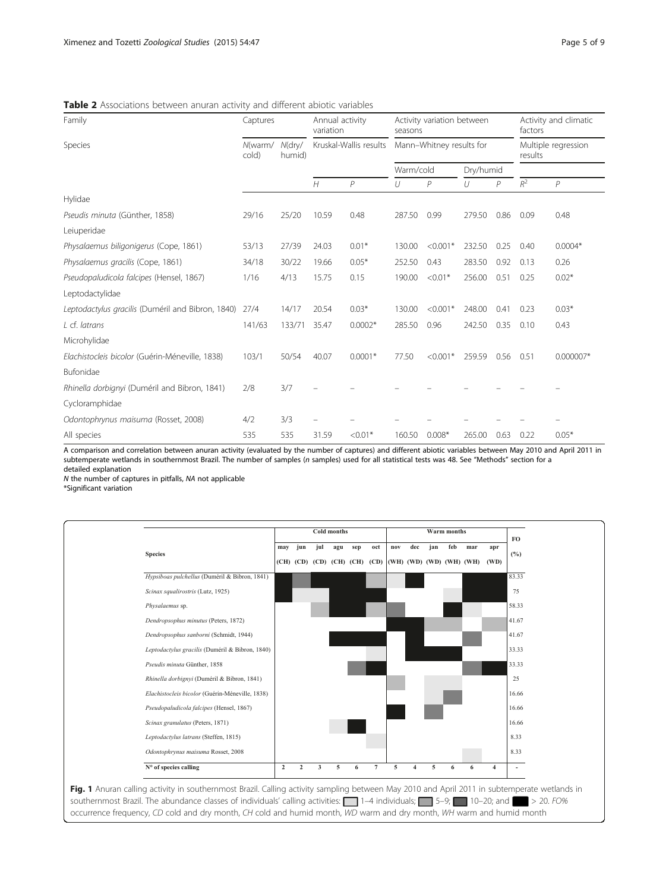$\overline{\phantom{a}}$ 

<span id="page-4-0"></span>Table 2 Associations between anuran activity and different abiotic variables

| Family                                            | Captures         |                  | Annual activity<br>variation |                        | seasons   | Activity variation between | Activity and climatic<br>factors |      |                |                |
|---------------------------------------------------|------------------|------------------|------------------------------|------------------------|-----------|----------------------------|----------------------------------|------|----------------|----------------|
| Species                                           | N(warm/<br>cold) | N(dry/<br>humid) |                              | Kruskal-Wallis results |           | Mann-Whitney results for   | Multiple regression<br>results   |      |                |                |
|                                                   |                  |                  |                              |                        | Warm/cold |                            | Dry/humid                        |      |                |                |
|                                                   |                  |                  | H                            | $\mathsf{P}$           | U         | $\overline{P}$             | U                                | P    | $\mathbb{R}^2$ | $\overline{P}$ |
| Hylidae                                           |                  |                  |                              |                        |           |                            |                                  |      |                |                |
| Pseudis minuta (Günther, 1858)                    | 29/16            | 25/20            | 10.59                        | 0.48                   | 287.50    | 0.99                       | 279.50                           | 0.86 | 0.09           | 0.48           |
| Leiuperidae                                       |                  |                  |                              |                        |           |                            |                                  |      |                |                |
| Physalaemus biligonigerus (Cope, 1861)            | 53/13            | 27/39            | 24.03                        | $0.01*$                | 130.00    | $< 0.001*$                 | 232.50                           | 0.25 | 0.40           | $0.0004*$      |
| Physalaemus gracilis (Cope, 1861)                 | 34/18            | 30/22            | 19.66                        | $0.05*$                | 252.50    | 0.43                       | 283.50                           | 0.92 | 0.13           | 0.26           |
| Pseudopaludicola falcipes (Hensel, 1867)          | 1/16             | 4/13             | 15.75                        | 0.15                   | 190.00    | $< 0.01*$                  | 256.00                           | 0.51 | 0.25           | $0.02*$        |
| Leptodactylidae                                   |                  |                  |                              |                        |           |                            |                                  |      |                |                |
| Leptodactylus gracilis (Duméril and Bibron, 1840) | 27/4             | 14/17            | 20.54                        | $0.03*$                | 130.00    | $< 0.001*$                 | 248.00                           | 0.41 | 0.23           | $0.03*$        |
| L cf. latrans                                     | 141/63           | 133/71           | 35.47                        | $0.0002*$              | 285.50    | 0.96                       | 242.50                           | 0.35 | 0.10           | 0.43           |
| Microhylidae                                      |                  |                  |                              |                        |           |                            |                                  |      |                |                |
| Elachistocleis bicolor (Guérin-Méneville, 1838)   | 103/1            | 50/54            | 40.07                        | $0.0001*$              | 77.50     | $< 0.001*$                 | 259.59                           | 0.56 | 0.51           | $0.000007*$    |
| Bufonidae                                         |                  |                  |                              |                        |           |                            |                                  |      |                |                |
| Rhinella dorbignyi (Duméril and Bibron, 1841)     | 2/8              | 3/7              |                              |                        |           |                            |                                  |      |                |                |
| Cycloramphidae                                    |                  |                  |                              |                        |           |                            |                                  |      |                |                |
| Odontophrynus maisuma (Rosset, 2008)              | 4/2              | 3/3              |                              |                        |           |                            |                                  |      |                |                |
| All species                                       | 535              | 535              | 31.59                        | $< 0.01*$              | 160.50    | $0.008*$                   | 265.00                           | 0.63 | 0.22           | $0.05*$        |

A comparison and correlation between anuran activity (evaluated by the number of captures) and different abiotic variables between May 2010 and April 2011 in subtemperate wetlands in southernmost Brazil. The number of samples (n samples) used for all statistical tests was 48. See "Methods" section for a detailed explanation

N the number of captures in pitfalls, NA not applicable

\*Significant variation

|                                             |                                                 | <b>Cold months</b> |                      |     |                             |     | Warm months |     |     |     |     |                                           | FO.         |               |
|---------------------------------------------|-------------------------------------------------|--------------------|----------------------|-----|-----------------------------|-----|-------------|-----|-----|-----|-----|-------------------------------------------|-------------|---------------|
| <b>Species</b>                              |                                                 | may                | jun<br>$(CH)$ $(CD)$ | jul | agu<br>$(CD)$ $(CH)$ $(CH)$ | sep | oct<br>(CD) | nov | dec | jan | feb | mar<br>$(WH)$ $(WD)$ $(WD)$ $(WH)$ $(WH)$ | apr<br>(WD) | $(^{0}/_{0})$ |
|                                             | Hypsiboas pulchellus (Duméril & Bibron, 1841)   |                    |                      |     |                             |     |             |     |     |     |     |                                           |             | 83.33         |
| Scinax squalirostris (Lutz, 1925)           |                                                 |                    |                      |     |                             |     |             |     |     |     |     |                                           |             | 75            |
| Physalaemus sp.                             |                                                 |                    |                      |     |                             |     |             |     |     |     |     |                                           |             | 58.33         |
| Dendropsophus minutus (Peters, 1872)        |                                                 |                    |                      |     |                             |     |             |     |     |     |     |                                           |             | 41.67         |
| Dendropsophus sanborni (Schmidt, 1944)      |                                                 |                    |                      |     |                             |     |             |     |     |     |     |                                           |             | 41.67         |
|                                             | Leptodactylus gracilis (Duméril & Bibron, 1840) |                    |                      |     |                             |     |             |     |     |     |     |                                           |             | 33.33         |
| Pseudis minuta Günther, 1858                |                                                 |                    |                      |     |                             |     |             |     |     |     |     |                                           |             | 33.33         |
| Rhinella dorbignyi (Duméril & Bibron, 1841) |                                                 |                    |                      |     |                             |     |             |     |     |     |     |                                           |             | 25            |
|                                             | Elachistocleis bicolor (Guérin-Méneville, 1838) |                    |                      |     |                             |     |             |     |     |     |     |                                           |             | 16.66         |
| Pseudopaludicola falcipes (Hensel, 1867)    |                                                 |                    |                      |     |                             |     |             |     |     |     |     |                                           |             | 16.66         |
| Scinax granulatus (Peters, 1871)            |                                                 |                    |                      |     |                             |     |             |     |     |     |     |                                           |             | 16.66         |
| Leptodactylus latrans (Steffen, 1815)       |                                                 |                    |                      |     |                             |     |             |     |     |     |     |                                           |             | 8.33          |
| Odontophrynus maisuma Rosset, 2008          |                                                 |                    |                      |     |                             |     |             |     |     |     |     |                                           |             | 8.33          |
| N° of species calling                       |                                                 | $\overline{2}$     | $\overline{2}$       | 3   | 5                           | 6   | 7           | 5   | 4   | 5   | 6   | 6                                         | 4           |               |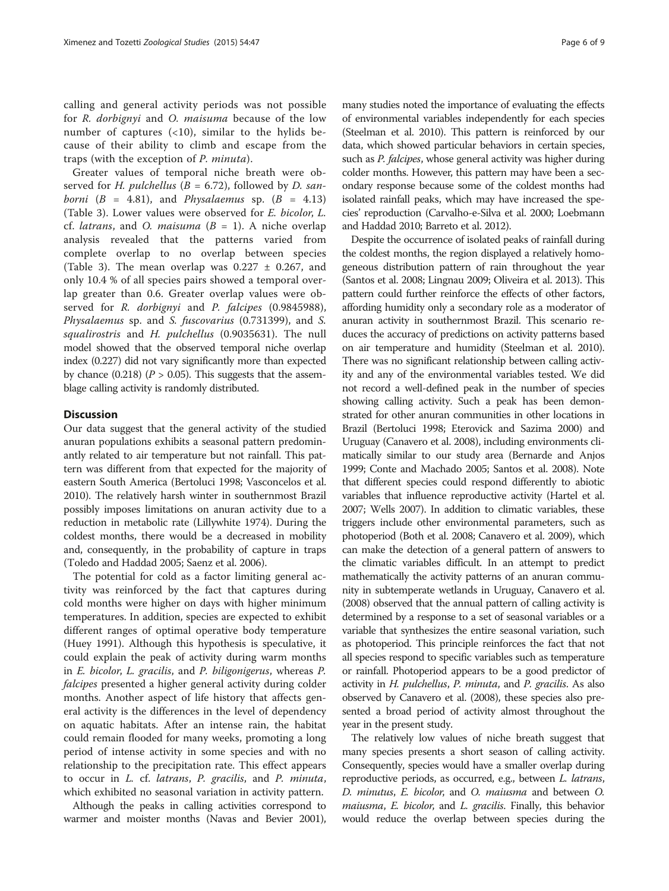calling and general activity periods was not possible for R. dorbignyi and O. maisuma because of the low number of captures  $(<10)$ , similar to the hylids because of their ability to climb and escape from the traps (with the exception of P. minuta).

Greater values of temporal niche breath were observed for H. pulchellus ( $B = 6.72$ ), followed by D. sanborni  $(B = 4.81)$ , and *Physalaemus* sp.  $(B = 4.13)$ (Table [3](#page-6-0)). Lower values were observed for E. bicolor, L. cf. latrans, and O. maisuma ( $B = 1$ ). A niche overlap analysis revealed that the patterns varied from complete overlap to no overlap between species (Table [3\)](#page-6-0). The mean overlap was  $0.227 \pm 0.267$ , and only 10.4 % of all species pairs showed a temporal overlap greater than 0.6. Greater overlap values were observed for R. dorbignyi and P. falcipes (0.9845988), Physalaemus sp. and S. fuscovarius (0.731399), and S. squalirostris and H. pulchellus (0.9035631). The null model showed that the observed temporal niche overlap index (0.227) did not vary significantly more than expected by chance (0.218) ( $P > 0.05$ ). This suggests that the assemblage calling activity is randomly distributed.

#### **Discussion**

Our data suggest that the general activity of the studied anuran populations exhibits a seasonal pattern predominantly related to air temperature but not rainfall. This pattern was different from that expected for the majority of eastern South America (Bertoluci [1998](#page-7-0); Vasconcelos et al. [2010\)](#page-8-0). The relatively harsh winter in southernmost Brazil possibly imposes limitations on anuran activity due to a reduction in metabolic rate (Lillywhite [1974\)](#page-8-0). During the coldest months, there would be a decreased in mobility and, consequently, in the probability of capture in traps (Toledo and Haddad [2005;](#page-8-0) Saenz et al. [2006\)](#page-8-0).

The potential for cold as a factor limiting general activity was reinforced by the fact that captures during cold months were higher on days with higher minimum temperatures. In addition, species are expected to exhibit different ranges of optimal operative body temperature (Huey [1991](#page-8-0)). Although this hypothesis is speculative, it could explain the peak of activity during warm months in E. bicolor, L. gracilis, and P. biligonigerus, whereas P. falcipes presented a higher general activity during colder months. Another aspect of life history that affects general activity is the differences in the level of dependency on aquatic habitats. After an intense rain, the habitat could remain flooded for many weeks, promoting a long period of intense activity in some species and with no relationship to the precipitation rate. This effect appears to occur in L. cf. latrans, P. gracilis, and P. minuta, which exhibited no seasonal variation in activity pattern.

Although the peaks in calling activities correspond to warmer and moister months (Navas and Bevier [2001](#page-8-0)),

many studies noted the importance of evaluating the effects of environmental variables independently for each species (Steelman et al. [2010](#page-8-0)). This pattern is reinforced by our data, which showed particular behaviors in certain species, such as P. falcipes, whose general activity was higher during colder months. However, this pattern may have been a secondary response because some of the coldest months had isolated rainfall peaks, which may have increased the species' reproduction (Carvalho-e-Silva et al. [2000;](#page-8-0) Loebmann and Haddad [2010](#page-8-0); Barreto et al. [2012](#page-7-0)).

Despite the occurrence of isolated peaks of rainfall during the coldest months, the region displayed a relatively homogeneous distribution pattern of rain throughout the year (Santos et al. [2008](#page-8-0); Lingnau [2009;](#page-8-0) Oliveira et al. [2013](#page-8-0)). This pattern could further reinforce the effects of other factors, affording humidity only a secondary role as a moderator of anuran activity in southernmost Brazil. This scenario reduces the accuracy of predictions on activity patterns based on air temperature and humidity (Steelman et al. [2010](#page-8-0)). There was no significant relationship between calling activity and any of the environmental variables tested. We did not record a well-defined peak in the number of species showing calling activity. Such a peak has been demonstrated for other anuran communities in other locations in Brazil (Bertoluci [1998;](#page-7-0) Eterovick and Sazima [2000\)](#page-8-0) and Uruguay (Canavero et al. [2008](#page-7-0)), including environments climatically similar to our study area (Bernarde and Anjos [1999;](#page-7-0) Conte and Machado [2005;](#page-8-0) Santos et al. [2008](#page-8-0)). Note that different species could respond differently to abiotic variables that influence reproductive activity (Hartel et al. [2007;](#page-8-0) Wells [2007\)](#page-8-0). In addition to climatic variables, these triggers include other environmental parameters, such as photoperiod (Both et al. [2008](#page-7-0); Canavero et al. [2009\)](#page-7-0), which can make the detection of a general pattern of answers to the climatic variables difficult. In an attempt to predict mathematically the activity patterns of an anuran community in subtemperate wetlands in Uruguay, Canavero et al. ([2008\)](#page-7-0) observed that the annual pattern of calling activity is determined by a response to a set of seasonal variables or a variable that synthesizes the entire seasonal variation, such as photoperiod. This principle reinforces the fact that not all species respond to specific variables such as temperature or rainfall. Photoperiod appears to be a good predictor of activity in *H. pulchellus, P. minuta,* and *P. gracilis*. As also observed by Canavero et al. [\(2008\)](#page-7-0), these species also presented a broad period of activity almost throughout the year in the present study.

The relatively low values of niche breath suggest that many species presents a short season of calling activity. Consequently, species would have a smaller overlap during reproductive periods, as occurred, e.g., between *L. latrans*, D. minutus, E. bicolor, and O. maiusma and between O. maiusma, E. bicolor, and L. gracilis. Finally, this behavior would reduce the overlap between species during the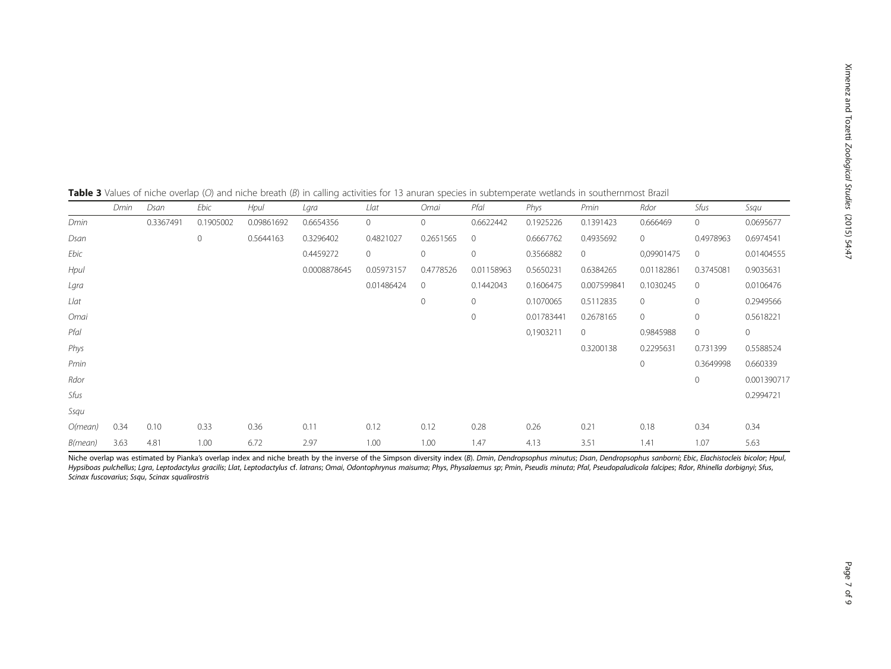|         | Dmin | Dsan      | Ebic      | Hpul       | <b>Table 3</b> values of there overlap (0) and ment breath (b) in calling activities for 15 andrari species in subtemperate wettands in southernmost brazil<br>Lgra | Llat       | Omai      | Pfal        | Phys       | Pmin        | Rdor       | Sfus         | Ssqu        |
|---------|------|-----------|-----------|------------|---------------------------------------------------------------------------------------------------------------------------------------------------------------------|------------|-----------|-------------|------------|-------------|------------|--------------|-------------|
| Dmin    |      | 0.3367491 | 0.1905002 | 0.09861692 | 0.6654356                                                                                                                                                           | $\circ$    | $\circ$   | 0.6622442   | 0.1925226  | 0.1391423   | 0.666469   | $\circ$      | 0.0695677   |
| Dsan    |      |           | $\circ$   | 0.5644163  | 0.3296402                                                                                                                                                           | 0.4821027  | 0.2651565 | $\mathbf 0$ | 0.6667762  | 0.4935692   | 0          | 0.4978963    | 0.6974541   |
| Ebic    |      |           |           |            | 0.4459272                                                                                                                                                           | 0          | $\circ$   | 0           | 0.3566882  | $\circ$     | 0,09901475 | 0            | 0.01404555  |
| Hpul    |      |           |           |            | 0.0008878645                                                                                                                                                        | 0.05973157 | 0.4778526 | 0.01158963  | 0.5650231  | 0.6384265   | 0.01182861 | 0.3745081    | 0.9035631   |
| Lgra    |      |           |           |            |                                                                                                                                                                     | 0.01486424 | $\Omega$  | 0.1442043   | 0.1606475  | 0.007599841 | 0.1030245  | $\circ$      | 0.0106476   |
| Llat    |      |           |           |            |                                                                                                                                                                     |            | 0         | 0           | 0.1070065  | 0.5112835   | 0          | $\circ$      | 0.2949566   |
| Omai    |      |           |           |            |                                                                                                                                                                     |            |           | $\circ$     | 0.01783441 | 0.2678165   | $\circ$    | $\mathbf{0}$ | 0.5618221   |
| Pfal    |      |           |           |            |                                                                                                                                                                     |            |           |             | 0,1903211  | $\circ$     | 0.9845988  | $\circ$      | $\circ$     |
| Phys    |      |           |           |            |                                                                                                                                                                     |            |           |             |            | 0.3200138   | 0.2295631  | 0.731399     | 0.5588524   |
| Pmin    |      |           |           |            |                                                                                                                                                                     |            |           |             |            |             | 0          | 0.3649998    | 0.660339    |
| Rdor    |      |           |           |            |                                                                                                                                                                     |            |           |             |            |             |            | $\circ$      | 0.001390717 |
| Sfus    |      |           |           |            |                                                                                                                                                                     |            |           |             |            |             |            |              | 0.2994721   |
| Ssqu    |      |           |           |            |                                                                                                                                                                     |            |           |             |            |             |            |              |             |
| O(mean) | 0.34 | 0.10      | 0.33      | 0.36       | 0.11                                                                                                                                                                | 0.12       | 0.12      | 0.28        | 0.26       | 0.21        | 0.18       | 0.34         | 0.34        |
| B(mean) | 3.63 | 4.81      | 1.00      | 6.72       | 2.97                                                                                                                                                                | 1.00       | 1.00      | 1.47        | 4.13       | 3.51        | 1.41       | 1.07         | 5.63        |

<span id="page-6-0"></span>

|  |  | Table 3 Values of niche overlap (O) and niche breath (B) in calling activities for 13 anuran species in subtemperate wetlands in southernmost Brazil |
|--|--|------------------------------------------------------------------------------------------------------------------------------------------------------|
|--|--|------------------------------------------------------------------------------------------------------------------------------------------------------|

Niche overlap was estimated by Pianka's overlap index and niche breath by the inverse of the Simpson diversity index (B). Dmin, Dendropsophus minutus; Dsan, Dendropsophus sanborni; Ebic, Elachistocleis bicolor; Hpul, Hypsiboas pulchellus; Lgra, Leptodactylus gracilis; Llat, Leptodactylus cf. latrans; Omai, Odontophrynus maisuma; Phys, Physalaemus sp; Pmin, Pseudis minuta; Pfal, Pseudopaludicola falcipes; Rdor, Rhinella dorbignyi; Sfus, Scinax fuscovarius; Ssqu, Scinax squalirostris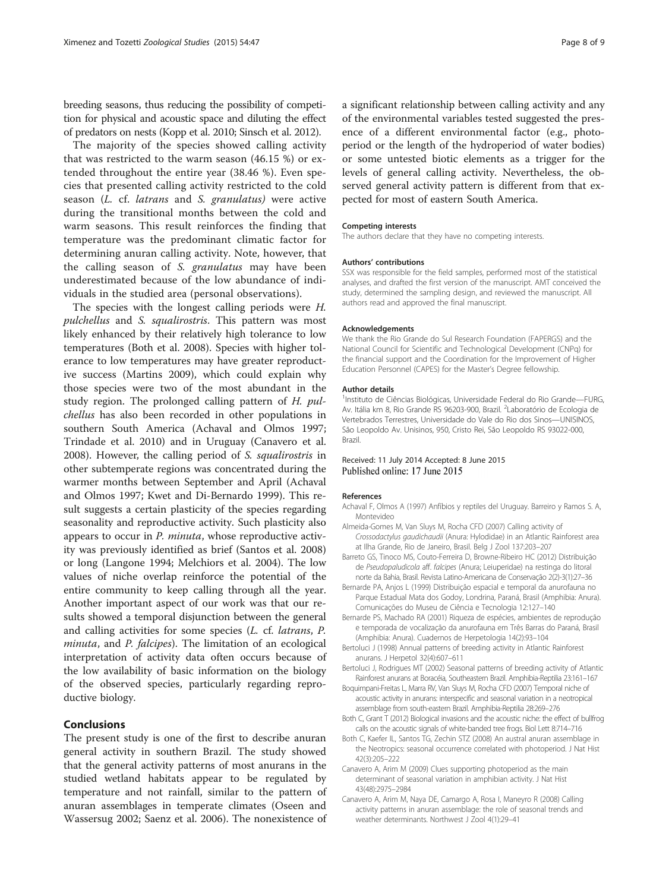<span id="page-7-0"></span>breeding seasons, thus reducing the possibility of competition for physical and acoustic space and diluting the effect of predators on nests (Kopp et al. [2010;](#page-8-0) Sinsch et al. [2012\)](#page-8-0).

The majority of the species showed calling activity that was restricted to the warm season (46.15 %) or extended throughout the entire year (38.46 %). Even species that presented calling activity restricted to the cold season (L. cf. latrans and S. granulatus) were active during the transitional months between the cold and warm seasons. This result reinforces the finding that temperature was the predominant climatic factor for determining anuran calling activity. Note, however, that the calling season of S. granulatus may have been underestimated because of the low abundance of individuals in the studied area (personal observations).

The species with the longest calling periods were H. pulchellus and S. squalirostris. This pattern was most likely enhanced by their relatively high tolerance to low temperatures (Both et al. 2008). Species with higher tolerance to low temperatures may have greater reproductive success (Martins [2009\)](#page-8-0), which could explain why those species were two of the most abundant in the study region. The prolonged calling pattern of H. pulchellus has also been recorded in other populations in southern South America (Achaval and Olmos 1997; Trindade et al. [2010\)](#page-8-0) and in Uruguay (Canavero et al. 2008). However, the calling period of S. squalirostris in other subtemperate regions was concentrated during the warmer months between September and April (Achaval and Olmos 1997; Kwet and Di-Bernardo [1999](#page-8-0)). This result suggests a certain plasticity of the species regarding seasonality and reproductive activity. Such plasticity also appears to occur in P. minuta, whose reproductive activity was previously identified as brief (Santos et al. [2008](#page-8-0)) or long (Langone [1994;](#page-8-0) Melchiors et al. [2004\)](#page-8-0). The low values of niche overlap reinforce the potential of the entire community to keep calling through all the year. Another important aspect of our work was that our results showed a temporal disjunction between the general and calling activities for some species (L. cf. latrans, P. minuta, and P. falcipes). The limitation of an ecological interpretation of activity data often occurs because of the low availability of basic information on the biology of the observed species, particularly regarding reproductive biology.

### Conclusions

The present study is one of the first to describe anuran general activity in southern Brazil. The study showed that the general activity patterns of most anurans in the studied wetland habitats appear to be regulated by temperature and not rainfall, similar to the pattern of anuran assemblages in temperate climates (Oseen and Wassersug [2002](#page-8-0); Saenz et al. [2006](#page-8-0)). The nonexistence of

a significant relationship between calling activity and any of the environmental variables tested suggested the presence of a different environmental factor (e.g., photoperiod or the length of the hydroperiod of water bodies) or some untested biotic elements as a trigger for the levels of general calling activity. Nevertheless, the observed general activity pattern is different from that expected for most of eastern South America.

#### Competing interests

The authors declare that they have no competing interests.

#### Authors' contributions

SSX was responsible for the field samples, performed most of the statistical analyses, and drafted the first version of the manuscript. AMT conceived the study, determined the sampling design, and reviewed the manuscript. All authors read and approved the final manuscript.

#### Acknowledgements

We thank the Rio Grande do Sul Research Foundation (FAPERGS) and the National Council for Scientific and Technological Development (CNPq) for the financial support and the Coordination for the Improvement of Higher Education Personnel (CAPES) for the Master's Degree fellowship.

#### Author details

<sup>1</sup>Instituto de Ciências Biológicas, Universidade Federal do Rio Grande-FURG Av. Itália km 8, Rio Grande RS 96203-900, Brazil. <sup>2</sup>Laboratório de Ecologia de Vertebrados Terrestres, Universidade do Vale do Rio dos Sinos—UNISINOS, São Leopoldo Av. Unisinos, 950, Cristo Rei, São Leopoldo RS 93022-000, Brazil.

#### Received: 11 July 2014 Accepted: 8 June 2015 Published online: 17 June 2015

#### References

- Achaval F, Olmos A (1997) Anfíbios y reptiles del Uruguay. Barreiro y Ramos S. A, Montevideo
- Almeida-Gomes M, Van Sluys M, Rocha CFD (2007) Calling activity of Crossodactylus gaudichaudii (Anura: Hylodidae) in an Atlantic Rainforest area at Ilha Grande, Rio de Janeiro, Brasil. Belg J Zool 137:203–207
- Barreto GS, Tinoco MS, Couto-Ferreira D, Browne-Ribeiro HC (2012) Distribuição de Pseudopaludicola aff. falcipes (Anura; Leiuperidae) na restinga do litoral norte da Bahia, Brasil. Revista Latino-Americana de Conservação 2(2)-3(1):27–36
- Bernarde PA, Anjos L (1999) Distribuição espacial e temporal da anurofauna no Parque Estadual Mata dos Godoy, Londrina, Paraná, Brasil (Amphibia: Anura). Comunicações do Museu de Ciência e Tecnologia 12:127–140
- Bernarde PS, Machado RA (2001) Riqueza de espécies, ambientes de reprodução e temporada de vocalização da anurofauna em Três Barras do Paraná, Brasil (Amphibia: Anura). Cuadernos de Herpetologia 14(2):93–104
- Bertoluci J (1998) Annual patterns of breeding activity in Atlantic Rainforest anurans. J Herpetol 32(4):607–611
- Bertoluci J, Rodrigues MT (2002) Seasonal patterns of breeding activity of Atlantic Rainforest anurans at Boracéia, Southeastern Brazil. Amphibia-Reptilia 23:161–167
- Boquimpani-Freitas L, Marra RV, Van Sluys M, Rocha CFD (2007) Temporal niche of acoustic activity in anurans: interspecific and seasonal variation in a neotropical assemblage from south-eastern Brazil. Amphibia-Reptilia 28:269–276
- Both C, Grant T (2012) Biological invasions and the acoustic niche: the effect of bullfrog calls on the acoustic signals of white-banded tree frogs. Biol Lett 8:714–716
- Both C, Kaefer IL, Santos TG, Zechin STZ (2008) An austral anuran assemblage in the Neotropics: seasonal occurrence correlated with photoperiod. J Nat Hist 42(3):205–222
- Canavero A, Arim M (2009) Clues supporting photoperiod as the main determinant of seasonal variation in amphibian activity. J Nat Hist 43(48):2975–2984
- Canavero A, Arim M, Naya DE, Camargo A, Rosa I, Maneyro R (2008) Calling activity patterns in anuran assemblage: the role of seasonal trends and weather determinants. Northwest J Zool 4(1):29–41